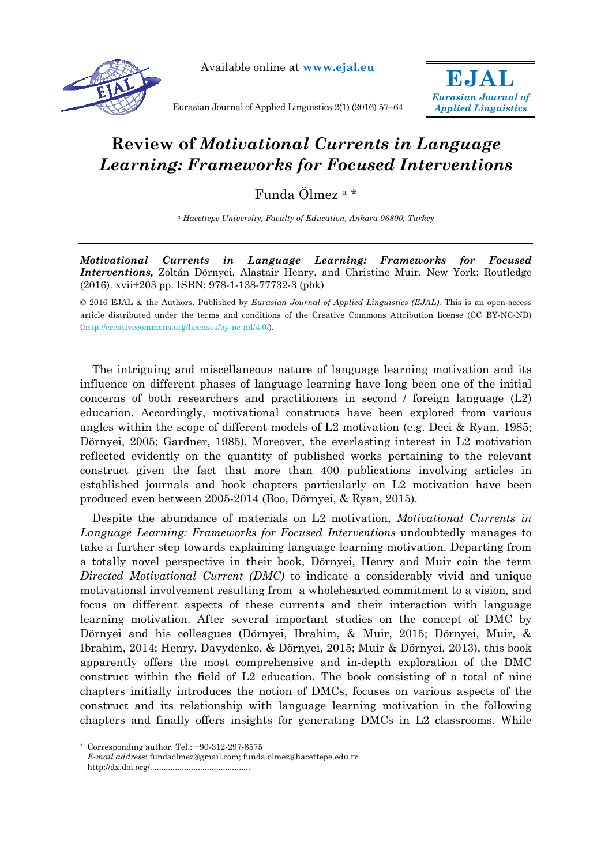

Available online at **www.ejal.eu**



Eurasian Journal of Applied Linguistics 2(1) (2016) 57–64

## **Review of** *Motivational Currents in Language Learning: Frameworks for Focused Interventions*

Funda Ölmez a \*

*a Hacettepe University, Faculty of Education, Ankara 06800, Turkey* 

*Motivational Currents in Language Learning: Frameworks for Focused Interventions,* Zoltán Dörnyei, Alastair Henry, and Christine Muir. New York: Routledge (2016). xvii+203 pp. ISBN: 978-1-138-77732-3 (pbk)

© 2016 EJAL & the Authors. Published by *Eurasian Journal of Applied Linguistics (EJAL).* This is an open-access article distributed under the terms and conditions of the Creative Commons Attribution license (CC BY-NC-ND) (http://creativecommons.org/licenses/by-nc-nd/4.0/).

The intriguing and miscellaneous nature of language learning motivation and its influence on different phases of language learning have long been one of the initial concerns of both researchers and practitioners in second / foreign language (L2) education. Accordingly, motivational constructs have been explored from various angles within the scope of different models of L2 motivation (e.g. Deci & Ryan, 1985; Dörnyei, 2005; Gardner, 1985). Moreover, the everlasting interest in L2 motivation reflected evidently on the quantity of published works pertaining to the relevant construct given the fact that more than 400 publications involving articles in established journals and book chapters particularly on L2 motivation have been produced even between 2005-2014 (Boo, Dörnyei, & Ryan, 2015).

Despite the abundance of materials on L2 motivation, *Motivational Currents in Language Learning: Frameworks for Focused Interventions* undoubtedly manages to take a further step towards explaining language learning motivation. Departing from a totally novel perspective in their book, Dörnyei, Henry and Muir coin the term *Directed Motivational Current (DMC)* to indicate a considerably vivid and unique motivational involvement resulting from a wholehearted commitment to a vision*,* and focus on different aspects of these currents and their interaction with language learning motivation. After several important studies on the concept of DMC by Dörnyei and his colleagues (Dörnyei, Ibrahim, & Muir, 2015; Dörnyei, Muir, & Ibrahim, 2014; Henry, Davydenko, & Dörnyei, 2015; Muir & Dörnyei, 2013), this book apparently offers the most comprehensive and in-depth exploration of the DMC construct within the field of L2 education. The book consisting of a total of nine chapters initially introduces the notion of DMCs, focuses on various aspects of the construct and its relationship with language learning motivation in the following chapters and finally offers insights for generating DMCs in L2 classrooms. While

 $\overline{a}$ 

Corresponding author. Tel.: +90-312-297-8575

*E-mail address*: fundaolmez@gmail.com; funda.olmez@hacettepe.edu.tr

http://dx.doi.org/............................................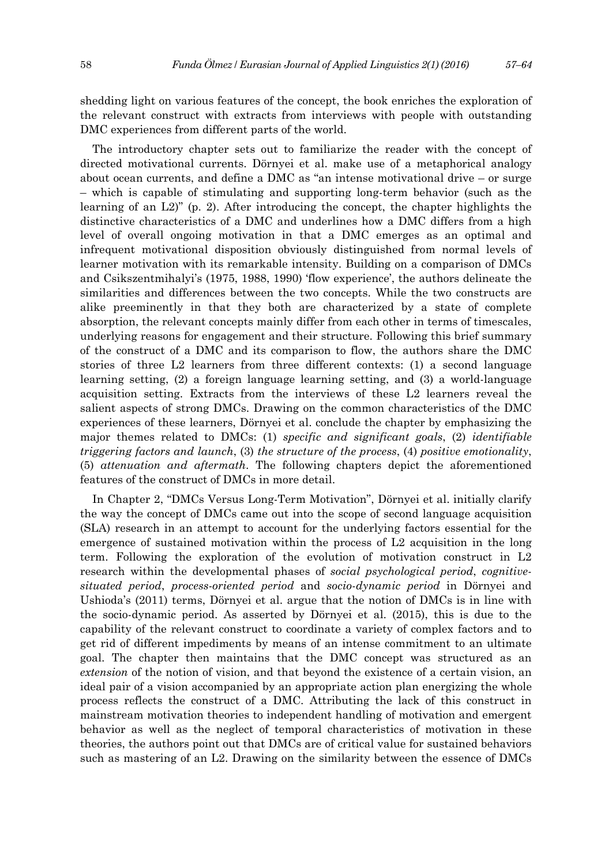shedding light on various features of the concept, the book enriches the exploration of the relevant construct with extracts from interviews with people with outstanding DMC experiences from different parts of the world.

The introductory chapter sets out to familiarize the reader with the concept of directed motivational currents. Dörnyei et al. make use of a metaphorical analogy about ocean currents, and define a DMC as "an intense motivational drive – or surge – which is capable of stimulating and supporting long-term behavior (such as the learning of an L2)" (p. 2). After introducing the concept, the chapter highlights the distinctive characteristics of a DMC and underlines how a DMC differs from a high level of overall ongoing motivation in that a DMC emerges as an optimal and infrequent motivational disposition obviously distinguished from normal levels of learner motivation with its remarkable intensity. Building on a comparison of DMCs and Csikszentmihalyi's (1975, 1988, 1990) 'flow experience', the authors delineate the similarities and differences between the two concepts. While the two constructs are alike preeminently in that they both are characterized by a state of complete absorption, the relevant concepts mainly differ from each other in terms of timescales, underlying reasons for engagement and their structure. Following this brief summary of the construct of a DMC and its comparison to flow, the authors share the DMC stories of three L2 learners from three different contexts: (1) a second language learning setting, (2) a foreign language learning setting, and (3) a world-language acquisition setting. Extracts from the interviews of these L2 learners reveal the salient aspects of strong DMCs. Drawing on the common characteristics of the DMC experiences of these learners, Dörnyei et al. conclude the chapter by emphasizing the major themes related to DMCs: (1) *specific and significant goals*, (2) *identifiable triggering factors and launch*, (3) *the structure of the process*, (4) *positive emotionality*, (5) *attenuation and aftermath*. The following chapters depict the aforementioned features of the construct of DMCs in more detail.

In Chapter 2, "DMCs Versus Long-Term Motivation", Dörnyei et al. initially clarify the way the concept of DMCs came out into the scope of second language acquisition (SLA) research in an attempt to account for the underlying factors essential for the emergence of sustained motivation within the process of L2 acquisition in the long term. Following the exploration of the evolution of motivation construct in L2 research within the developmental phases of *social psychological period*, *cognitivesituated period*, *process-oriented period* and *socio-dynamic period* in Dörnyei and Ushioda's (2011) terms, Dörnyei et al. argue that the notion of DMCs is in line with the socio-dynamic period. As asserted by Dörnyei et al. (2015), this is due to the capability of the relevant construct to coordinate a variety of complex factors and to get rid of different impediments by means of an intense commitment to an ultimate goal. The chapter then maintains that the DMC concept was structured as an *extension* of the notion of vision, and that beyond the existence of a certain vision, an ideal pair of a vision accompanied by an appropriate action plan energizing the whole process reflects the construct of a DMC. Attributing the lack of this construct in mainstream motivation theories to independent handling of motivation and emergent behavior as well as the neglect of temporal characteristics of motivation in these theories, the authors point out that DMCs are of critical value for sustained behaviors such as mastering of an L2. Drawing on the similarity between the essence of DMCs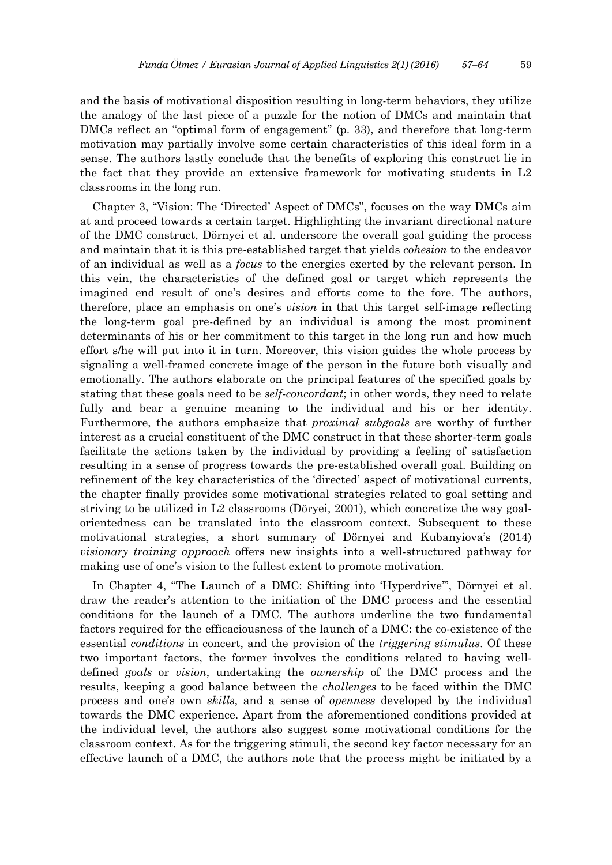and the basis of motivational disposition resulting in long-term behaviors, they utilize the analogy of the last piece of a puzzle for the notion of DMCs and maintain that DMCs reflect an "optimal form of engagement" (p. 33), and therefore that long-term motivation may partially involve some certain characteristics of this ideal form in a sense. The authors lastly conclude that the benefits of exploring this construct lie in the fact that they provide an extensive framework for motivating students in L2 classrooms in the long run.

Chapter 3, "Vision: The 'Directed' Aspect of DMCs", focuses on the way DMCs aim at and proceed towards a certain target. Highlighting the invariant directional nature of the DMC construct, Dörnyei et al. underscore the overall goal guiding the process and maintain that it is this pre-established target that yields *cohesion* to the endeavor of an individual as well as a *focus* to the energies exerted by the relevant person. In this vein, the characteristics of the defined goal or target which represents the imagined end result of one's desires and efforts come to the fore. The authors, therefore, place an emphasis on one's *vision* in that this target self-image reflecting the long-term goal pre-defined by an individual is among the most prominent determinants of his or her commitment to this target in the long run and how much effort s/he will put into it in turn. Moreover, this vision guides the whole process by signaling a well-framed concrete image of the person in the future both visually and emotionally. The authors elaborate on the principal features of the specified goals by stating that these goals need to be *self-concordant*; in other words, they need to relate fully and bear a genuine meaning to the individual and his or her identity. Furthermore, the authors emphasize that *proximal subgoals* are worthy of further interest as a crucial constituent of the DMC construct in that these shorter-term goals facilitate the actions taken by the individual by providing a feeling of satisfaction resulting in a sense of progress towards the pre-established overall goal. Building on refinement of the key characteristics of the 'directed' aspect of motivational currents, the chapter finally provides some motivational strategies related to goal setting and striving to be utilized in L2 classrooms (Döryei, 2001), which concretize the way goalorientedness can be translated into the classroom context. Subsequent to these motivational strategies, a short summary of Dörnyei and Kubanyiova's (2014) *visionary training approach* offers new insights into a well-structured pathway for making use of one's vision to the fullest extent to promote motivation.

In Chapter 4, "The Launch of a DMC: Shifting into 'Hyperdrive'", Dörnyei et al. draw the reader's attention to the initiation of the DMC process and the essential conditions for the launch of a DMC. The authors underline the two fundamental factors required for the efficaciousness of the launch of a DMC: the co-existence of the essential *conditions* in concert, and the provision of the *triggering stimulus*. Of these two important factors, the former involves the conditions related to having welldefined *goals* or *vision*, undertaking the *ownership* of the DMC process and the results, keeping a good balance between the *challenges* to be faced within the DMC process and one's own *skills*, and a sense of *openness* developed by the individual towards the DMC experience. Apart from the aforementioned conditions provided at the individual level, the authors also suggest some motivational conditions for the classroom context. As for the triggering stimuli, the second key factor necessary for an effective launch of a DMC, the authors note that the process might be initiated by a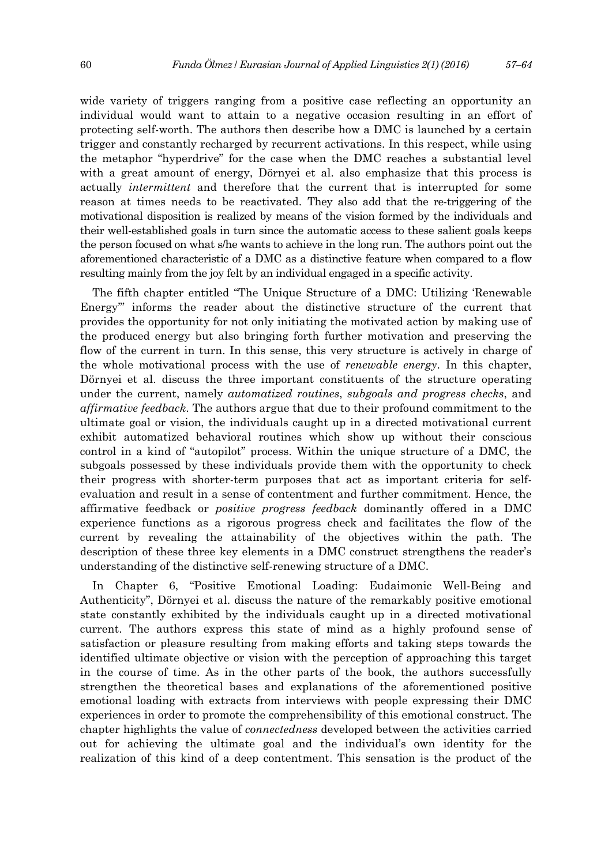wide variety of triggers ranging from a positive case reflecting an opportunity an individual would want to attain to a negative occasion resulting in an effort of protecting self-worth. The authors then describe how a DMC is launched by a certain trigger and constantly recharged by recurrent activations. In this respect, while using the metaphor "hyperdrive" for the case when the DMC reaches a substantial level with a great amount of energy, Dörnyei et al. also emphasize that this process is actually *intermittent* and therefore that the current that is interrupted for some reason at times needs to be reactivated. They also add that the re-triggering of the motivational disposition is realized by means of the vision formed by the individuals and their well-established goals in turn since the automatic access to these salient goals keeps the person focused on what s/he wants to achieve in the long run. The authors point out the aforementioned characteristic of a DMC as a distinctive feature when compared to a flow resulting mainly from the joy felt by an individual engaged in a specific activity.

The fifth chapter entitled "The Unique Structure of a DMC: Utilizing 'Renewable Energy'" informs the reader about the distinctive structure of the current that provides the opportunity for not only initiating the motivated action by making use of the produced energy but also bringing forth further motivation and preserving the flow of the current in turn. In this sense, this very structure is actively in charge of the whole motivational process with the use of *renewable energy*. In this chapter, Dörnyei et al. discuss the three important constituents of the structure operating under the current, namely *automatized routines*, *subgoals and progress checks*, and *affirmative feedback*. The authors argue that due to their profound commitment to the ultimate goal or vision, the individuals caught up in a directed motivational current exhibit automatized behavioral routines which show up without their conscious control in a kind of "autopilot" process. Within the unique structure of a DMC, the subgoals possessed by these individuals provide them with the opportunity to check their progress with shorter-term purposes that act as important criteria for selfevaluation and result in a sense of contentment and further commitment. Hence, the affirmative feedback or *positive progress feedback* dominantly offered in a DMC experience functions as a rigorous progress check and facilitates the flow of the current by revealing the attainability of the objectives within the path. The description of these three key elements in a DMC construct strengthens the reader's understanding of the distinctive self-renewing structure of a DMC.

In Chapter 6, "Positive Emotional Loading: Eudaimonic Well-Being and Authenticity", Dörnyei et al. discuss the nature of the remarkably positive emotional state constantly exhibited by the individuals caught up in a directed motivational current. The authors express this state of mind as a highly profound sense of satisfaction or pleasure resulting from making efforts and taking steps towards the identified ultimate objective or vision with the perception of approaching this target in the course of time. As in the other parts of the book, the authors successfully strengthen the theoretical bases and explanations of the aforementioned positive emotional loading with extracts from interviews with people expressing their DMC experiences in order to promote the comprehensibility of this emotional construct. The chapter highlights the value of *connectedness* developed between the activities carried out for achieving the ultimate goal and the individual's own identity for the realization of this kind of a deep contentment. This sensation is the product of the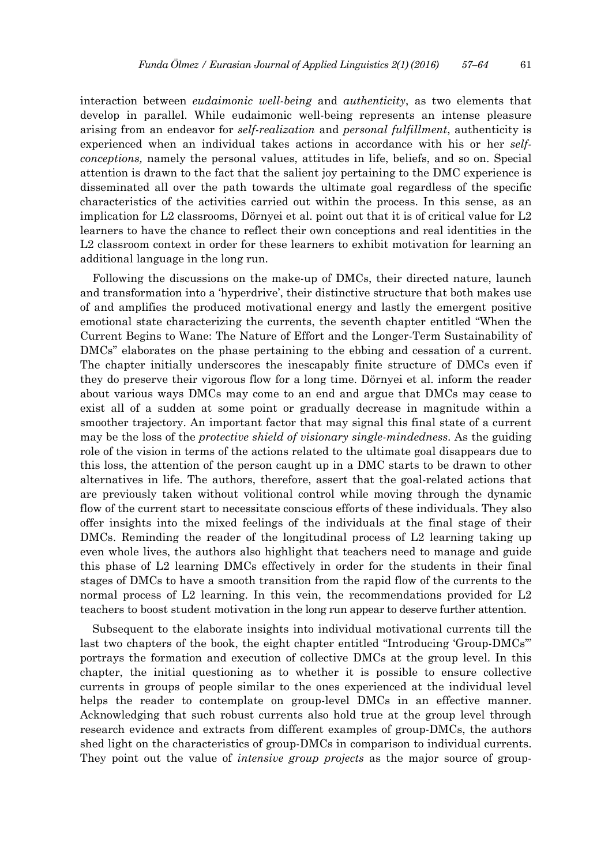interaction between *eudaimonic well-being* and *authenticity*, as two elements that develop in parallel. While eudaimonic well-being represents an intense pleasure arising from an endeavor for *self-realization* and *personal fulfillment*, authenticity is experienced when an individual takes actions in accordance with his or her *selfconceptions,* namely the personal values, attitudes in life, beliefs, and so on. Special attention is drawn to the fact that the salient joy pertaining to the DMC experience is disseminated all over the path towards the ultimate goal regardless of the specific characteristics of the activities carried out within the process. In this sense, as an implication for L2 classrooms, Dörnyei et al. point out that it is of critical value for L2 learners to have the chance to reflect their own conceptions and real identities in the L2 classroom context in order for these learners to exhibit motivation for learning an additional language in the long run.

Following the discussions on the make-up of DMCs, their directed nature, launch and transformation into a 'hyperdrive', their distinctive structure that both makes use of and amplifies the produced motivational energy and lastly the emergent positive emotional state characterizing the currents, the seventh chapter entitled "When the Current Begins to Wane: The Nature of Effort and the Longer-Term Sustainability of DMCs" elaborates on the phase pertaining to the ebbing and cessation of a current. The chapter initially underscores the inescapably finite structure of DMCs even if they do preserve their vigorous flow for a long time. Dörnyei et al. inform the reader about various ways DMCs may come to an end and argue that DMCs may cease to exist all of a sudden at some point or gradually decrease in magnitude within a smoother trajectory. An important factor that may signal this final state of a current may be the loss of the *protective shield of visionary single-mindedness*. As the guiding role of the vision in terms of the actions related to the ultimate goal disappears due to this loss, the attention of the person caught up in a DMC starts to be drawn to other alternatives in life. The authors, therefore, assert that the goal-related actions that are previously taken without volitional control while moving through the dynamic flow of the current start to necessitate conscious efforts of these individuals. They also offer insights into the mixed feelings of the individuals at the final stage of their DMCs. Reminding the reader of the longitudinal process of L2 learning taking up even whole lives, the authors also highlight that teachers need to manage and guide this phase of L2 learning DMCs effectively in order for the students in their final stages of DMCs to have a smooth transition from the rapid flow of the currents to the normal process of L2 learning. In this vein, the recommendations provided for L2 teachers to boost student motivation in the long run appear to deserve further attention.

Subsequent to the elaborate insights into individual motivational currents till the last two chapters of the book, the eight chapter entitled "Introducing 'Group-DMCs'" portrays the formation and execution of collective DMCs at the group level. In this chapter, the initial questioning as to whether it is possible to ensure collective currents in groups of people similar to the ones experienced at the individual level helps the reader to contemplate on group-level DMCs in an effective manner. Acknowledging that such robust currents also hold true at the group level through research evidence and extracts from different examples of group-DMCs, the authors shed light on the characteristics of group-DMCs in comparison to individual currents. They point out the value of *intensive group projects* as the major source of group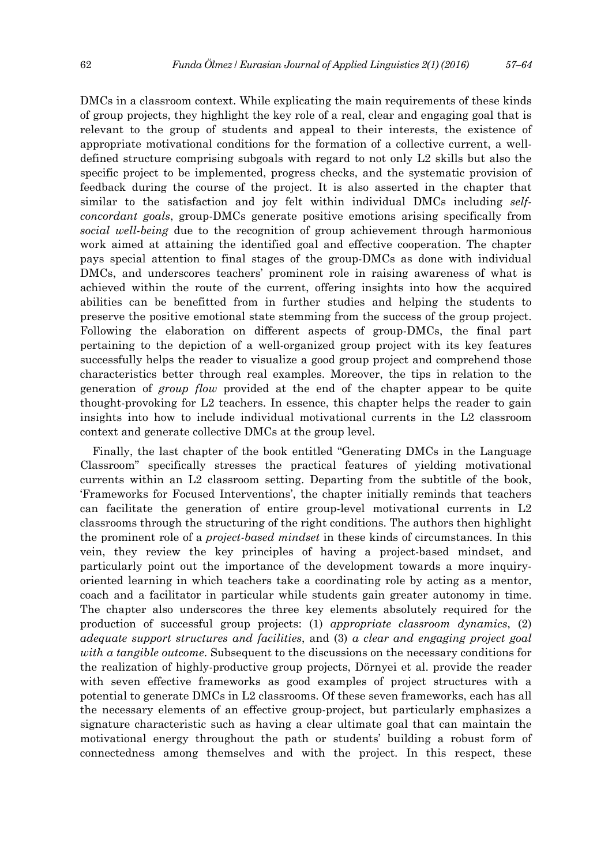DMCs in a classroom context. While explicating the main requirements of these kinds of group projects, they highlight the key role of a real, clear and engaging goal that is relevant to the group of students and appeal to their interests, the existence of appropriate motivational conditions for the formation of a collective current, a welldefined structure comprising subgoals with regard to not only L2 skills but also the specific project to be implemented, progress checks, and the systematic provision of feedback during the course of the project. It is also asserted in the chapter that similar to the satisfaction and joy felt within individual DMCs including *selfconcordant goals*, group-DMCs generate positive emotions arising specifically from *social well-being* due to the recognition of group achievement through harmonious work aimed at attaining the identified goal and effective cooperation. The chapter pays special attention to final stages of the group-DMCs as done with individual DMCs, and underscores teachers' prominent role in raising awareness of what is achieved within the route of the current, offering insights into how the acquired abilities can be benefitted from in further studies and helping the students to preserve the positive emotional state stemming from the success of the group project. Following the elaboration on different aspects of group-DMCs, the final part pertaining to the depiction of a well-organized group project with its key features successfully helps the reader to visualize a good group project and comprehend those characteristics better through real examples. Moreover, the tips in relation to the generation of *group flow* provided at the end of the chapter appear to be quite thought-provoking for L2 teachers. In essence, this chapter helps the reader to gain insights into how to include individual motivational currents in the L2 classroom context and generate collective DMCs at the group level.

Finally, the last chapter of the book entitled "Generating DMCs in the Language Classroom" specifically stresses the practical features of yielding motivational currents within an L2 classroom setting. Departing from the subtitle of the book, 'Frameworks for Focused Interventions', the chapter initially reminds that teachers can facilitate the generation of entire group-level motivational currents in L2 classrooms through the structuring of the right conditions. The authors then highlight the prominent role of a *project-based mindset* in these kinds of circumstances. In this vein, they review the key principles of having a project-based mindset, and particularly point out the importance of the development towards a more inquiryoriented learning in which teachers take a coordinating role by acting as a mentor, coach and a facilitator in particular while students gain greater autonomy in time. The chapter also underscores the three key elements absolutely required for the production of successful group projects: (1) *appropriate classroom dynamics*, (2) *adequate support structures and facilities*, and (3) *a clear and engaging project goal with a tangible outcome*. Subsequent to the discussions on the necessary conditions for the realization of highly-productive group projects, Dörnyei et al. provide the reader with seven effective frameworks as good examples of project structures with a potential to generate DMCs in L2 classrooms. Of these seven frameworks, each has all the necessary elements of an effective group-project, but particularly emphasizes a signature characteristic such as having a clear ultimate goal that can maintain the motivational energy throughout the path or students' building a robust form of connectedness among themselves and with the project. In this respect, these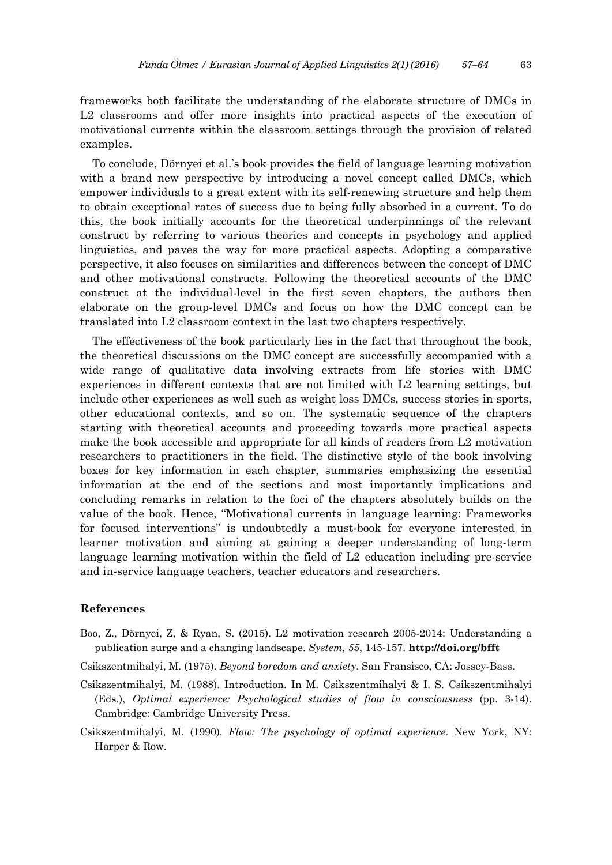frameworks both facilitate the understanding of the elaborate structure of DMCs in L2 classrooms and offer more insights into practical aspects of the execution of motivational currents within the classroom settings through the provision of related examples.

To conclude, Dörnyei et al.'s book provides the field of language learning motivation with a brand new perspective by introducing a novel concept called DMCs, which empower individuals to a great extent with its self-renewing structure and help them to obtain exceptional rates of success due to being fully absorbed in a current. To do this, the book initially accounts for the theoretical underpinnings of the relevant construct by referring to various theories and concepts in psychology and applied linguistics, and paves the way for more practical aspects. Adopting a comparative perspective, it also focuses on similarities and differences between the concept of DMC and other motivational constructs. Following the theoretical accounts of the DMC construct at the individual-level in the first seven chapters, the authors then elaborate on the group-level DMCs and focus on how the DMC concept can be translated into L2 classroom context in the last two chapters respectively.

The effectiveness of the book particularly lies in the fact that throughout the book, the theoretical discussions on the DMC concept are successfully accompanied with a wide range of qualitative data involving extracts from life stories with DMC experiences in different contexts that are not limited with L2 learning settings, but include other experiences as well such as weight loss DMCs, success stories in sports, other educational contexts, and so on. The systematic sequence of the chapters starting with theoretical accounts and proceeding towards more practical aspects make the book accessible and appropriate for all kinds of readers from L2 motivation researchers to practitioners in the field. The distinctive style of the book involving boxes for key information in each chapter, summaries emphasizing the essential information at the end of the sections and most importantly implications and concluding remarks in relation to the foci of the chapters absolutely builds on the value of the book. Hence, "Motivational currents in language learning: Frameworks for focused interventions" is undoubtedly a must-book for everyone interested in learner motivation and aiming at gaining a deeper understanding of long-term language learning motivation within the field of L2 education including pre-service and in-service language teachers, teacher educators and researchers.

## **References**

- Boo, Z., Dörnyei, Z, & Ryan, S. (2015). L2 motivation research 2005-2014: Understanding a publication surge and a changing landscape. *System*, *55*, 145-157. **http://doi.org/bfft**
- Csikszentmihalyi, M. (1975). *Beyond boredom and anxiety*. San Fransisco, CA: Jossey-Bass.
- Csikszentmihalyi, M. (1988). Introduction. In M. Csikszentmihalyi & I. S. Csikszentmihalyi (Eds.), *Optimal experience: Psychological studies of flow in consciousness* (pp. 3-14). Cambridge: Cambridge University Press.
- Csikszentmihalyi, M. (1990). *Flow: The psychology of optimal experience*. New York, NY: Harper & Row.